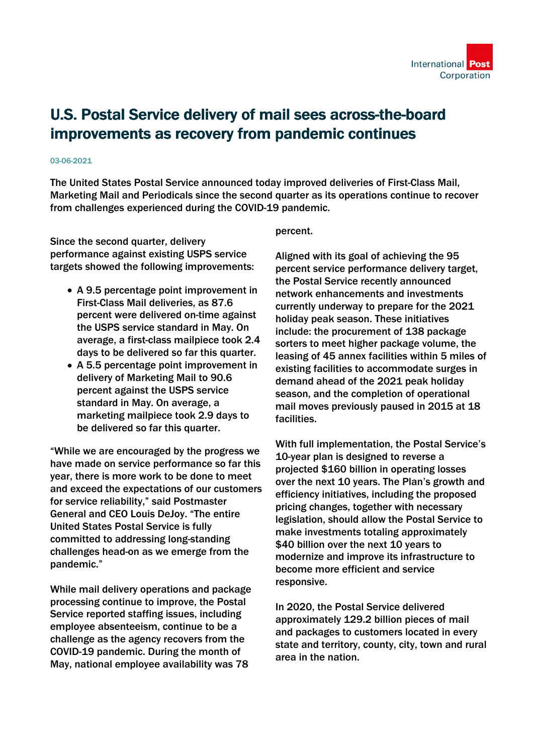

## U.S. Postal Service delivery of mail sees across-the-board improvements as recovery from pandemic continues

## 03-06-2021

The United States Postal Service announced today improved deliveries of First-Class Mail, Marketing Mail and Periodicals since the second quarter as its operations continue to recover from challenges experienced during the COVID-19 pandemic.

Since the second quarter, delivery performance against existing USPS service targets showed the following improvements:

- A 9.5 percentage point improvement in First-Class Mail deliveries, as 87.6 percent were delivered on-time against the USPS service standard in May. On average, a first-class mailpiece took 2.4 days to be delivered so far this quarter.
- A 5.5 percentage point improvement in delivery of Marketing Mail to 90.6 percent against the USPS service standard in May. On average, a marketing mailpiece took 2.9 days to be delivered so far this quarter.

"While we are encouraged by the progress we have made on service performance so far this year, there is more work to be done to meet and exceed the expectations of our customers for service reliability," said Postmaster General and CEO Louis DeJoy. "The entire United States Postal Service is fully committed to addressing long-standing challenges head-on as we emerge from the pandemic."

While mail delivery operations and package processing continue to improve, the Postal Service reported staffing issues, including employee absenteeism, continue to be a challenge as the agency recovers from the COVID-19 pandemic. During the month of May, national employee availability was 78

## percent.

Aligned with its goal of achieving the 95 percent service performance delivery target, the Postal Service recently announced network enhancements and investments currently underway to prepare for the 2021 holiday peak season. These initiatives include: the procurement of 138 package sorters to meet higher package volume, the leasing of 45 annex facilities within 5 miles of existing facilities to accommodate surges in demand ahead of the 2021 peak holiday season, and the completion of operational mail moves previously paused in 2015 at 18 facilities.

With full implementation, the Postal Service's 10-year plan is designed to reverse a projected \$160 billion in operating losses over the next 10 years. The Plan's growth and efficiency initiatives, including the proposed pricing changes, together with necessary legislation, should allow the Postal Service to make investments totaling approximately \$40 billion over the next 10 years to modernize and improve its infrastructure to become more efficient and service responsive.

In 2020, the Postal Service delivered approximately 129.2 billion pieces of mail and packages to customers located in every state and territory, county, city, town and rural area in the nation.